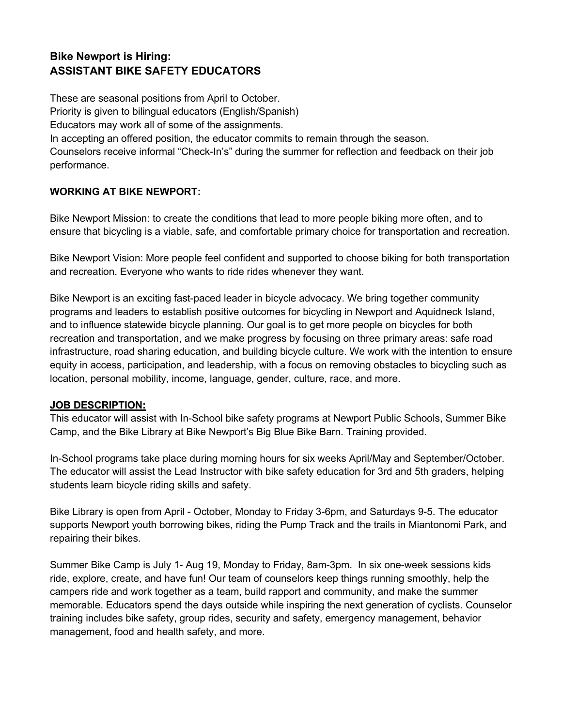# **Bike Newport is Hiring: ASSISTANT BIKE SAFETY EDUCATORS**

These are seasonal positions from April to October. Priority is given to bilingual educators (English/Spanish) Educators may work all of some of the assignments. In accepting an offered position, the educator commits to remain through the season. Counselors receive informal "Check-In's" during the summer for reflection and feedback on their job performance.

## **WORKING AT BIKE NEWPORT:**

Bike Newport Mission: to create the conditions that lead to more people biking more often, and to ensure that bicycling is a viable, safe, and comfortable primary choice for transportation and recreation.

Bike Newport Vision: More people feel confident and supported to choose biking for both transportation and recreation. Everyone who wants to ride rides whenever they want.

Bike Newport is an exciting fast-paced leader in bicycle advocacy. We bring together community programs and leaders to establish positive outcomes for bicycling in Newport and Aquidneck Island, and to influence statewide bicycle planning. Our goal is to get more people on bicycles for both recreation and transportation, and we make progress by focusing on three primary areas: safe road infrastructure, road sharing education, and building bicycle culture. We work with the intention to ensure equity in access, participation, and leadership, with a focus on removing obstacles to bicycling such as location, personal mobility, income, language, gender, culture, race, and more.

#### **JOB DESCRIPTION:**

This educator will assist with In-School bike safety programs at Newport Public Schools, Summer Bike Camp, and the Bike Library at Bike Newport's Big Blue Bike Barn. Training provided.

In-School programs take place during morning hours for six weeks April/May and September/October. The educator will assist the Lead Instructor with bike safety education for 3rd and 5th graders, helping students learn bicycle riding skills and safety.

Bike Library is open from April - October, Monday to Friday 3-6pm, and Saturdays 9-5. The educator supports Newport youth borrowing bikes, riding the Pump Track and the trails in Miantonomi Park, and repairing their bikes.

Summer Bike Camp is July 1- Aug 19, Monday to Friday, 8am-3pm. In six one-week sessions kids ride, explore, create, and have fun! Our team of counselors keep things running smoothly, help the campers ride and work together as a team, build rapport and community, and make the summer memorable. Educators spend the days outside while inspiring the next generation of cyclists. Counselor training includes bike safety, group rides, security and safety, emergency management, behavior management, food and health safety, and more.